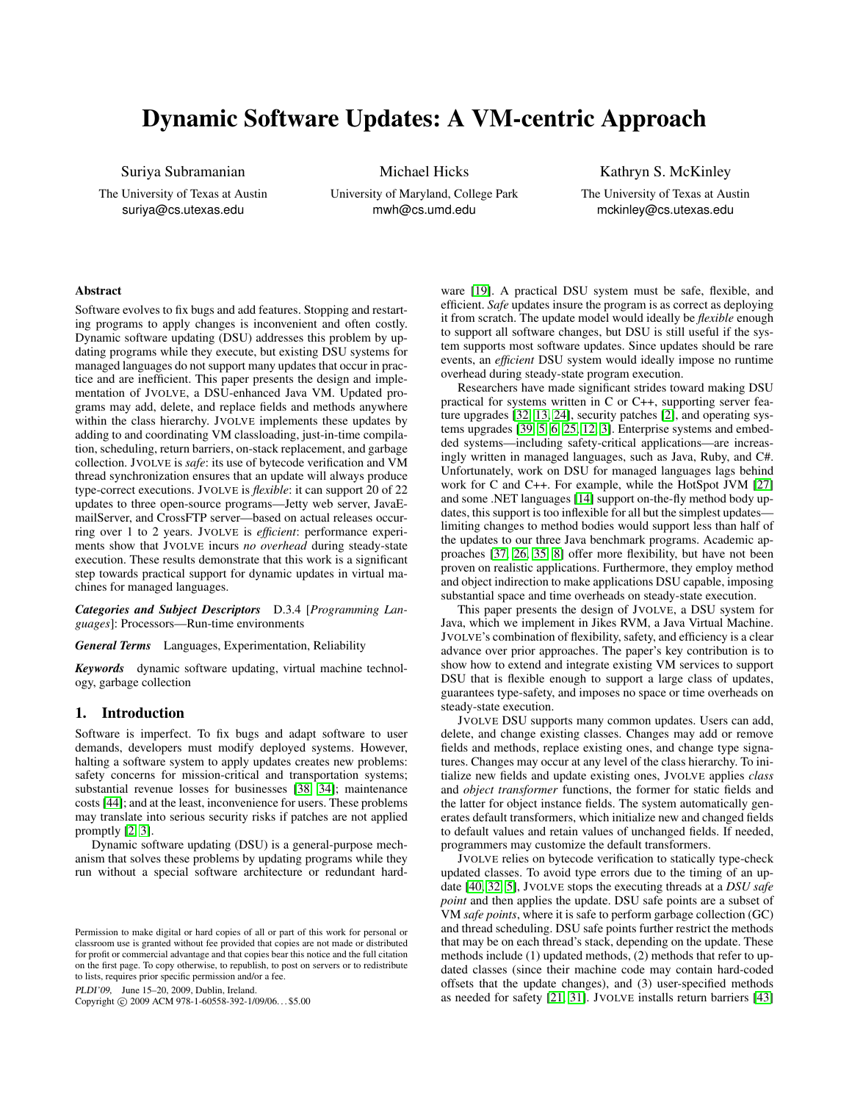# Dynamic Software Updates: A VM-centric Approach

Suriya Subramanian

The University of Texas at Austin suriya@cs.utexas.edu

Michael Hicks University of Maryland, College Park mwh@cs.umd.edu

Kathryn S. McKinley The University of Texas at Austin mckinley@cs.utexas.edu

## Abstract

Software evolves to fix bugs and add features. Stopping and restarting programs to apply changes is inconvenient and often costly. Dynamic software updating (DSU) addresses this problem by updating programs while they execute, but existing DSU systems for managed languages do not support many updates that occur in practice and are inefficient. This paper presents the design and implementation of JVOLVE, a DSU-enhanced Java VM. Updated programs may add, delete, and replace fields and methods anywhere within the class hierarchy. JVOLVE implements these updates by adding to and coordinating VM classloading, just-in-time compilation, scheduling, return barriers, on-stack replacement, and garbage collection. JVOLVE is *safe*: its use of bytecode verification and VM thread synchronization ensures that an update will always produce type-correct executions. JVOLVE is *flexible*: it can support 20 of 22 updates to three open-source programs—Jetty web server, JavaEmailServer, and CrossFTP server—based on actual releases occurring over 1 to 2 years. JVOLVE is *efficient*: performance experiments show that JVOLVE incurs *no overhead* during steady-state execution. These results demonstrate that this work is a significant step towards practical support for dynamic updates in virtual machines for managed languages.

*Categories and Subject Descriptors* D.3.4 [*Programming Languages*]: Processors—Run-time environments

*General Terms* Languages, Experimentation, Reliability

*Keywords* dynamic software updating, virtual machine technology, garbage collection

## 1. Introduction

Software is imperfect. To fix bugs and adapt software to user demands, developers must modify deployed systems. However, halting a software system to apply updates creates new problems: safety concerns for mission-critical and transportation systems; substantial revenue losses for businesses [\[38,](#page-11-0) [34\]](#page-11-1); maintenance costs [\[44\]](#page-11-2); and at the least, inconvenience for users. These problems may translate into serious security risks if patches are not applied promptly [\[2,](#page-10-0) [3\]](#page-10-1).

Dynamic software updating (DSU) is a general-purpose mechanism that solves these problems by updating programs while they run without a special software architecture or redundant hard-

PLDI'09, June 15–20, 2009, Dublin, Ireland.

Copyright © 2009 ACM 978-1-60558-392-1/09/06... \$5.00

ware [\[19\]](#page-11-3). A practical DSU system must be safe, flexible, and efficient. *Safe* updates insure the program is as correct as deploying it from scratch. The update model would ideally be *flexible* enough to support all software changes, but DSU is still useful if the system supports most software updates. Since updates should be rare events, an *efficient* DSU system would ideally impose no runtime overhead during steady-state program execution.

Researchers have made significant strides toward making DSU practical for systems written in C or C++, supporting server feature upgrades [\[32,](#page-11-4) [13,](#page-10-2) [24\]](#page-11-5), security patches [\[2\]](#page-10-0), and operating systems upgrades [\[39,](#page-11-6) [5,](#page-10-3) [6,](#page-10-4) [25,](#page-11-7) [12,](#page-10-5) [3\]](#page-10-1). Enterprise systems and embedded systems—including safety-critical applications—are increasingly written in managed languages, such as Java, Ruby, and C#. Unfortunately, work on DSU for managed languages lags behind work for C and C++. For example, while the HotSpot JVM [\[27\]](#page-11-8) and some .NET languages [\[14\]](#page-10-6) support on-the-fly method body updates, this support is too inflexible for all but the simplest updates limiting changes to method bodies would support less than half of the updates to our three Java benchmark programs. Academic approaches [\[37,](#page-11-9) [26,](#page-11-10) [35,](#page-11-11) [8\]](#page-10-7) offer more flexibility, but have not been proven on realistic applications. Furthermore, they employ method and object indirection to make applications DSU capable, imposing substantial space and time overheads on steady-state execution.

This paper presents the design of JVOLVE, a DSU system for Java, which we implement in Jikes RVM, a Java Virtual Machine. JVOLVE's combination of flexibility, safety, and efficiency is a clear advance over prior approaches. The paper's key contribution is to show how to extend and integrate existing VM services to support DSU that is flexible enough to support a large class of updates, guarantees type-safety, and imposes no space or time overheads on steady-state execution.

JVOLVE DSU supports many common updates. Users can add, delete, and change existing classes. Changes may add or remove fields and methods, replace existing ones, and change type signatures. Changes may occur at any level of the class hierarchy. To initialize new fields and update existing ones, JVOLVE applies *class* and *object transformer* functions, the former for static fields and the latter for object instance fields. The system automatically generates default transformers, which initialize new and changed fields to default values and retain values of unchanged fields. If needed, programmers may customize the default transformers.

JVOLVE relies on bytecode verification to statically type-check updated classes. To avoid type errors due to the timing of an update [\[40,](#page-11-12) [32,](#page-11-4) [5\]](#page-10-3), JVOLVE stops the executing threads at a *DSU safe point* and then applies the update. DSU safe points are a subset of VM *safe points*, where it is safe to perform garbage collection (GC) and thread scheduling. DSU safe points further restrict the methods that may be on each thread's stack, depending on the update. These methods include (1) updated methods, (2) methods that refer to updated classes (since their machine code may contain hard-coded offsets that the update changes), and (3) user-specified methods as needed for safety [\[21,](#page-11-13) [31\]](#page-11-14). JVOLVE installs return barriers [\[43\]](#page-11-15)

Permission to make digital or hard copies of all or part of this work for personal or classroom use is granted without fee provided that copies are not made or distributed for profit or commercial advantage and that copies bear this notice and the full citation on the first page. To copy otherwise, to republish, to post on servers or to redistribute to lists, requires prior specific permission and/or a fee.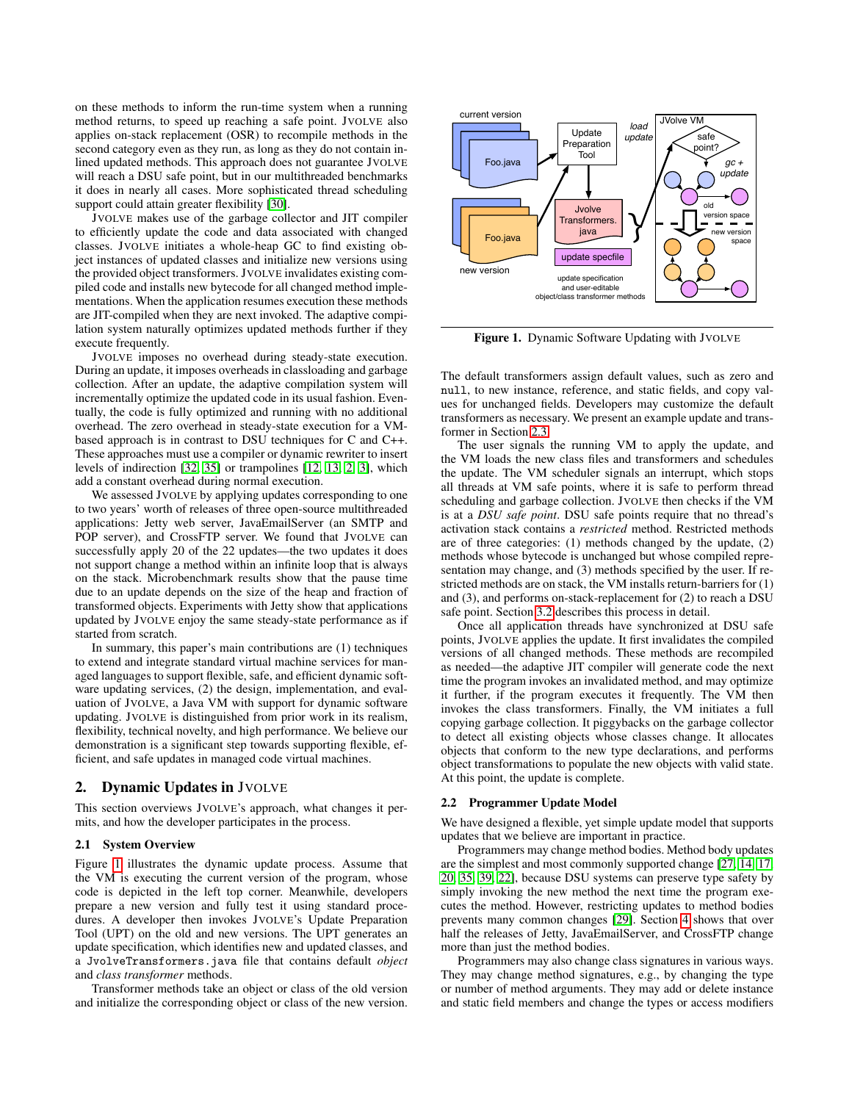on these methods to inform the run-time system when a running method returns, to speed up reaching a safe point. JVOLVE also applies on-stack replacement (OSR) to recompile methods in the second category even as they run, as long as they do not contain inlined updated methods. This approach does not guarantee JVOLVE will reach a DSU safe point, but in our multithreaded benchmarks it does in nearly all cases. More sophisticated thread scheduling support could attain greater flexibility [\[30\]](#page-11-16).

JVOLVE makes use of the garbage collector and JIT compiler to efficiently update the code and data associated with changed classes. JVOLVE initiates a whole-heap GC to find existing object instances of updated classes and initialize new versions using the provided object transformers. JVOLVE invalidates existing compiled code and installs new bytecode for all changed method implementations. When the application resumes execution these methods are JIT-compiled when they are next invoked. The adaptive compilation system naturally optimizes updated methods further if they execute frequently.

JVOLVE imposes no overhead during steady-state execution. During an update, it imposes overheads in classloading and garbage collection. After an update, the adaptive compilation system will incrementally optimize the updated code in its usual fashion. Eventually, the code is fully optimized and running with no additional overhead. The zero overhead in steady-state execution for a VMbased approach is in contrast to DSU techniques for C and C++. These approaches must use a compiler or dynamic rewriter to insert levels of indirection [\[32,](#page-11-4) [35\]](#page-11-11) or trampolines [\[12,](#page-10-5) [13,](#page-10-2) [2,](#page-10-0) [3\]](#page-10-1), which add a constant overhead during normal execution.

We assessed JVOLVE by applying updates corresponding to one to two years' worth of releases of three open-source multithreaded applications: Jetty web server, JavaEmailServer (an SMTP and POP server), and CrossFTP server. We found that JVOLVE can successfully apply 20 of the 22 updates—the two updates it does not support change a method within an infinite loop that is always on the stack. Microbenchmark results show that the pause time due to an update depends on the size of the heap and fraction of transformed objects. Experiments with Jetty show that applications updated by JVOLVE enjoy the same steady-state performance as if started from scratch.

In summary, this paper's main contributions are (1) techniques to extend and integrate standard virtual machine services for managed languages to support flexible, safe, and efficient dynamic software updating services, (2) the design, implementation, and evaluation of JVOLVE, a Java VM with support for dynamic software updating. JVOLVE is distinguished from prior work in its realism, flexibility, technical novelty, and high performance. We believe our demonstration is a significant step towards supporting flexible, efficient, and safe updates in managed code virtual machines.

# 2. Dynamic Updates in JVOLVE

This section overviews JVOLVE's approach, what changes it permits, and how the developer participates in the process.

## <span id="page-1-1"></span>2.1 System Overview

Figure [1](#page-1-0) illustrates the dynamic update process. Assume that the VM is executing the current version of the program, whose code is depicted in the left top corner. Meanwhile, developers prepare a new version and fully test it using standard procedures. A developer then invokes JVOLVE's Update Preparation Tool (UPT) on the old and new versions. The UPT generates an update specification, which identifies new and updated classes, and a JvolveTransformers.java file that contains default *object* and *class transformer* methods.

Transformer methods take an object or class of the old version and initialize the corresponding object or class of the new version.



<span id="page-1-0"></span>Figure 1. Dynamic Software Updating with JVOLVE

The default transformers assign default values, such as zero and null, to new instance, reference, and static fields, and copy values for unchanged fields. Developers may customize the default transformers as necessary. We present an example update and transformer in Section [2.3.](#page-2-0)

The user signals the running VM to apply the update, and the VM loads the new class files and transformers and schedules the update. The VM scheduler signals an interrupt, which stops all threads at VM safe points, where it is safe to perform thread scheduling and garbage collection. JVOLVE then checks if the VM is at a *DSU safe point*. DSU safe points require that no thread's activation stack contains a *restricted* method. Restricted methods are of three categories: (1) methods changed by the update, (2) methods whose bytecode is unchanged but whose compiled representation may change, and (3) methods specified by the user. If restricted methods are on stack, the VM installs return-barriers for (1) and (3), and performs on-stack-replacement for (2) to reach a DSU safe point. Section [3.2](#page-3-0) describes this process in detail.

Once all application threads have synchronized at DSU safe points, JVOLVE applies the update. It first invalidates the compiled versions of all changed methods. These methods are recompiled as needed—the adaptive JIT compiler will generate code the next time the program invokes an invalidated method, and may optimize it further, if the program executes it frequently. The VM then invokes the class transformers. Finally, the VM initiates a full copying garbage collection. It piggybacks on the garbage collector to detect all existing objects whose classes change. It allocates objects that conform to the new type declarations, and performs object transformations to populate the new objects with valid state. At this point, the update is complete.

#### 2.2 Programmer Update Model

We have designed a flexible, yet simple update model that supports updates that we believe are important in practice.

Programmers may change method bodies. Method body updates are the simplest and most commonly supported change [\[27,](#page-11-8) [14,](#page-10-6) [17,](#page-10-8) [20,](#page-11-17) [35,](#page-11-11) [39,](#page-11-6) [22\]](#page-11-18), because DSU systems can preserve type safety by simply invoking the new method the next time the program executes the method. However, restricting updates to method bodies prevents many common changes [\[29\]](#page-11-19). Section [4](#page-6-0) shows that over half the releases of Jetty, JavaEmailServer, and CrossFTP change more than just the method bodies.

Programmers may also change class signatures in various ways. They may change method signatures, e.g., by changing the type or number of method arguments. They may add or delete instance and static field members and change the types or access modifiers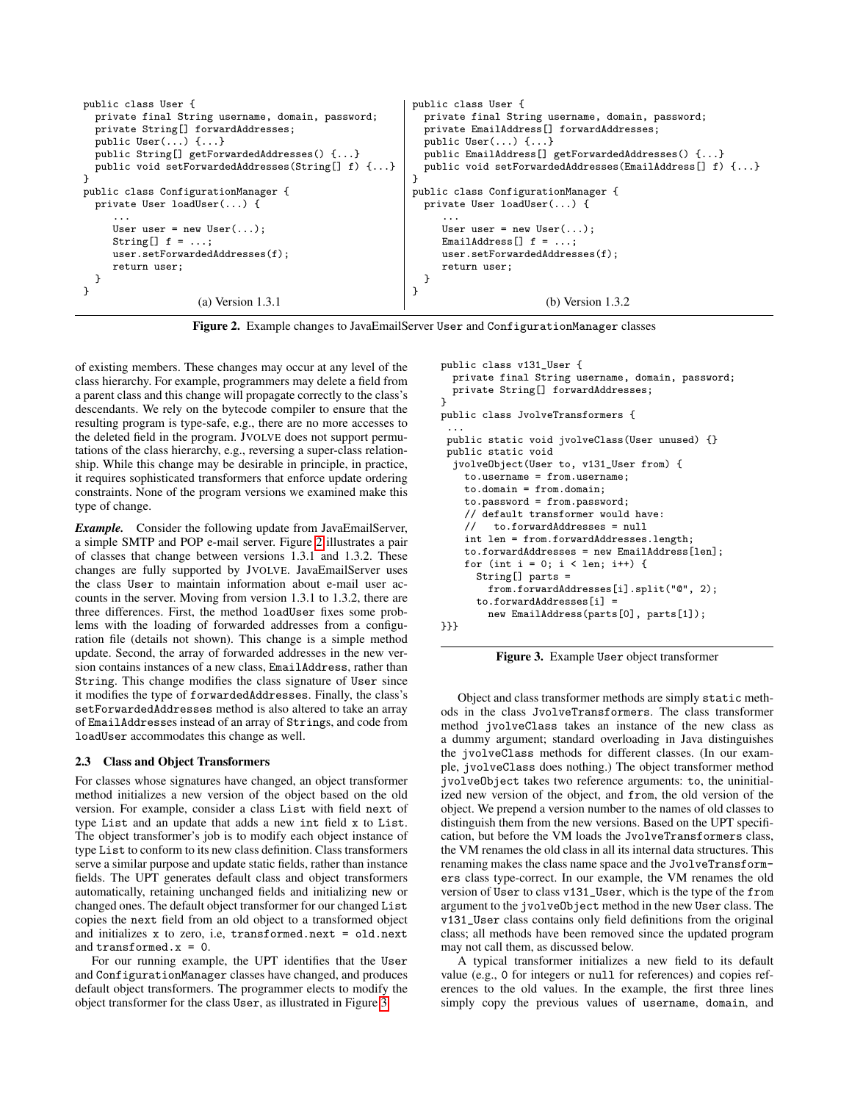```
public class User {
 private final String username, domain, password;
 private String[] forwardAddresses;
 public User(...) {...}
 public String[] getForwardedAddresses() {...}
 public void setForwardedAddresses(String[] f) {...}
}
public class ConfigurationManager {
 private User loadUser(...) {
     ...
     User user = new User(...);
    String[] f = \ldots;user.setForwardedAddresses(f);
    return user;
 }
}
                                                      public class User {
                                                        private final String username, domain, password;
                                                        private EmailAddress[] forwardAddresses;
                                                        public User(...) {...}
                                                        public EmailAddress[] getForwardedAddresses() {...}
                                                        public void setForwardedAddresses(EmailAddress[] f) {...}
                                                      }
                                                      public class ConfigurationManager {
                                                        private User loadUser(...) {
                                                           ...
                                                           User user = new User(...);EmailAddress[] f = ...;user.setForwardedAddresses(f);
                                                           return user;
                                                        }
                                                      }
                   (a) Version 1.3.1 (b) Version 1.3.2
```
<span id="page-2-1"></span>Figure 2. Example changes to JavaEmailServer User and ConfigurationManager classes

of existing members. These changes may occur at any level of the class hierarchy. For example, programmers may delete a field from a parent class and this change will propagate correctly to the class's descendants. We rely on the bytecode compiler to ensure that the resulting program is type-safe, e.g., there are no more accesses to the deleted field in the program. JVOLVE does not support permutations of the class hierarchy, e.g., reversing a super-class relationship. While this change may be desirable in principle, in practice, it requires sophisticated transformers that enforce update ordering constraints. None of the program versions we examined make this type of change.

*Example.* Consider the following update from JavaEmailServer, a simple SMTP and POP e-mail server. Figure [2](#page-2-1) illustrates a pair of classes that change between versions 1.3.1 and 1.3.2. These changes are fully supported by JVOLVE. JavaEmailServer uses the class User to maintain information about e-mail user accounts in the server. Moving from version 1.3.1 to 1.3.2, there are three differences. First, the method loadUser fixes some problems with the loading of forwarded addresses from a configuration file (details not shown). This change is a simple method update. Second, the array of forwarded addresses in the new version contains instances of a new class, EmailAddress, rather than String. This change modifies the class signature of User since it modifies the type of forwardedAddresses. Finally, the class's setForwardedAddresses method is also altered to take an array of EmailAddresses instead of an array of Strings, and code from loadUser accommodates this change as well.

# <span id="page-2-0"></span>2.3 Class and Object Transformers

For classes whose signatures have changed, an object transformer method initializes a new version of the object based on the old version. For example, consider a class List with field next of type List and an update that adds a new int field x to List. The object transformer's job is to modify each object instance of type List to conform to its new class definition. Class transformers serve a similar purpose and update static fields, rather than instance fields. The UPT generates default class and object transformers automatically, retaining unchanged fields and initializing new or changed ones. The default object transformer for our changed List copies the next field from an old object to a transformed object and initializes x to zero, i.e, transformed.next = old.next and transformed.x = 0.

For our running example, the UPT identifies that the User and ConfigurationManager classes have changed, and produces default object transformers. The programmer elects to modify the object transformer for the class User, as illustrated in Figure [3.](#page-2-2)

```
public class v131_User {
 private final String username, domain, password;
  private String[] forwardAddresses;
}
public class JvolveTransformers {
 ...
 public static void jvolveClass(User unused) {}
 public static void
  jvolveObject(User to, v131_User from) {
    to.username = from.username;
    to.domain = from.domain;
    to.password = from.password;
    // default transformer would have:
    // to.forwardAddresses = null
    int len = from.forwardAddresses.length;
    to.forwardAddresses = new EmailAddress[len];
    for (int i = 0; i < len; i++) {
      String[] parts =
        from.forwardAddresses[i].split("@", 2);
      to.forwardAddresses[i] =
        new EmailAddress(parts[0], parts[1]);
}}}
```
<span id="page-2-2"></span>Figure 3. Example User object transformer

Object and class transformer methods are simply static methods in the class JvolveTransformers. The class transformer method jvolveClass takes an instance of the new class as a dummy argument; standard overloading in Java distinguishes the jvolveClass methods for different classes. (In our example, jvolveClass does nothing.) The object transformer method jvolveObject takes two reference arguments: to, the uninitialized new version of the object, and from, the old version of the object. We prepend a version number to the names of old classes to distinguish them from the new versions. Based on the UPT specification, but before the VM loads the JvolveTransformers class, the VM renames the old class in all its internal data structures. This renaming makes the class name space and the JvolveTransformers class type-correct. In our example, the VM renames the old version of User to class v131\_User, which is the type of the from argument to the jvolveObject method in the new User class. The v131\_User class contains only field definitions from the original class; all methods have been removed since the updated program may not call them, as discussed below.

A typical transformer initializes a new field to its default value (e.g., 0 for integers or null for references) and copies references to the old values. In the example, the first three lines simply copy the previous values of username, domain, and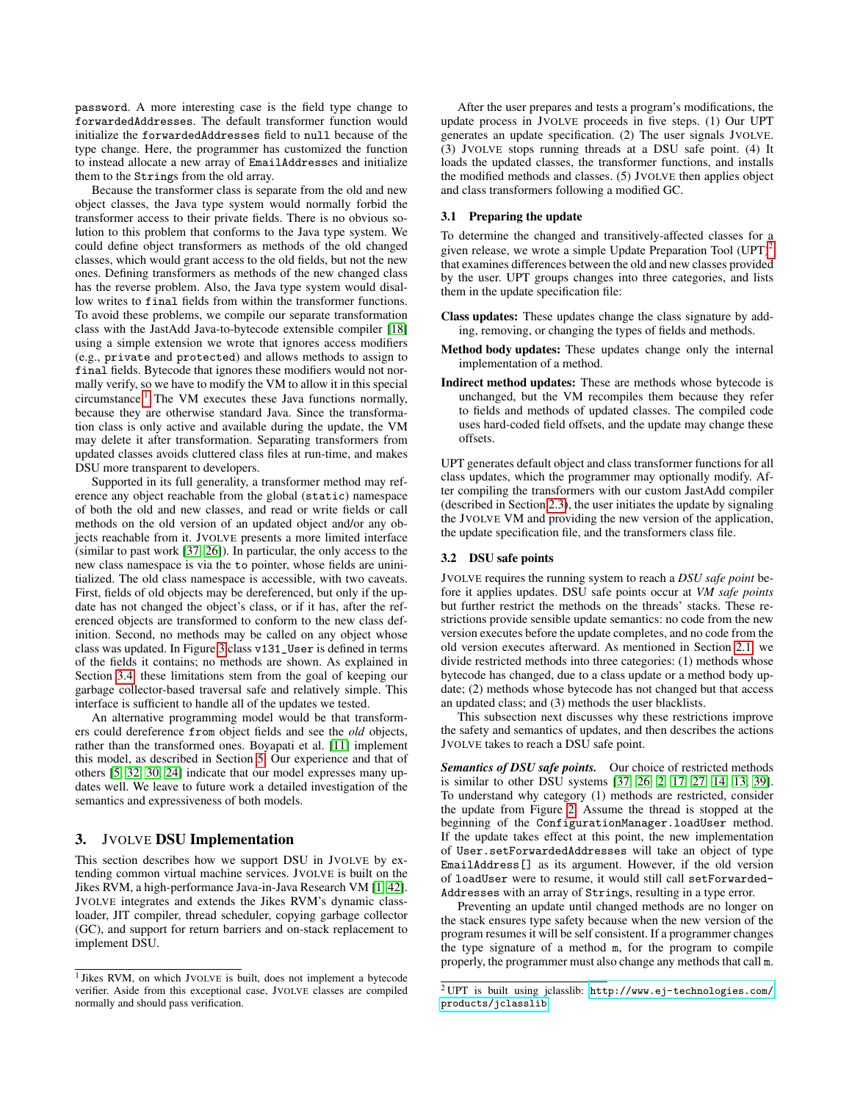password. A more interesting case is the field type change to forwardedAddresses. The default transformer function would initialize the forwardedAddresses field to null because of the type change. Here, the programmer has customized the function to instead allocate a new array of EmailAddresses and initialize them to the Strings from the old array.

Because the transformer class is separate from the old and new object classes, the Java type system would normally forbid the transformer access to their private fields. There is no obvious solution to this problem that conforms to the Java type system. We could define object transformers as methods of the old changed classes, which would grant access to the old fields, but not the new ones. Defining transformers as methods of the new changed class has the reverse problem. Also, the Java type system would disallow writes to final fields from within the transformer functions. To avoid these problems, we compile our separate transformation class with the JastAdd Java-to-bytecode extensible compiler [\[18\]](#page-10-9) using a simple extension we wrote that ignores access modifiers (e.g., private and protected) and allows methods to assign to final fields. Bytecode that ignores these modifiers would not normally verify, so we have to modify the VM to allow it in this special circumstance.[1](#page-3-1) The VM executes these Java functions normally, because they are otherwise standard Java. Since the transformation class is only active and available during the update, the VM may delete it after transformation. Separating transformers from updated classes avoids cluttered class files at run-time, and makes DSU more transparent to developers.

Supported in its full generality, a transformer method may reference any object reachable from the global (static) namespace of both the old and new classes, and read or write fields or call methods on the old version of an updated object and/or any objects reachable from it. JVOLVE presents a more limited interface (similar to past work [\[37,](#page-11-9) [26\]](#page-11-10)). In particular, the only access to the new class namespace is via the to pointer, whose fields are uninitialized. The old class namespace is accessible, with two caveats. First, fields of old objects may be dereferenced, but only if the update has not changed the object's class, or if it has, after the referenced objects are transformed to conform to the new class definition. Second, no methods may be called on any object whose class was updated. In Figure [3](#page-2-2) class v131\_User is defined in terms of the fields it contains; no methods are shown. As explained in Section [3.4,](#page-5-0) these limitations stem from the goal of keeping our garbage collector-based traversal safe and relatively simple. This interface is sufficient to handle all of the updates we tested.

An alternative programming model would be that transformers could dereference from object fields and see the *old* objects, rather than the transformed ones. Boyapati et al. [\[11\]](#page-10-10) implement this model, as described in Section [5.](#page-9-0) Our experience and that of others [\[5,](#page-10-3) [32,](#page-11-4) [30,](#page-11-16) [24\]](#page-11-5) indicate that our model expresses many updates well. We leave to future work a detailed investigation of the semantics and expressiveness of both models.

## 3. JVOLVE DSU Implementation

This section describes how we support DSU in JVOLVE by extending common virtual machine services. JVOLVE is built on the Jikes RVM, a high-performance Java-in-Java Research VM [\[1,](#page-10-11) [42\]](#page-11-20). JVOLVE integrates and extends the Jikes RVM's dynamic classloader, JIT compiler, thread scheduler, copying garbage collector (GC), and support for return barriers and on-stack replacement to implement DSU.

After the user prepares and tests a program's modifications, the update process in JVOLVE proceeds in five steps. (1) Our UPT generates an update specification. (2) The user signals JVOLVE. (3) JVOLVE stops running threads at a DSU safe point. (4) It loads the updated classes, the transformer functions, and installs the modified methods and classes. (5) JVOLVE then applies object and class transformers following a modified GC.

#### 3.1 Preparing the update

To determine the changed and transitively-affected classes for a given release, we wrote a simple Update Preparation Tool  $(UPT)^2$  $(UPT)^2$ that examines differences between the old and new classes provided by the user. UPT groups changes into three categories, and lists them in the update specification file:

- Class updates: These updates change the class signature by adding, removing, or changing the types of fields and methods.
- Method body updates: These updates change only the internal implementation of a method.
- Indirect method updates: These are methods whose bytecode is unchanged, but the VM recompiles them because they refer to fields and methods of updated classes. The compiled code uses hard-coded field offsets, and the update may change these offsets.

UPT generates default object and class transformer functions for all class updates, which the programmer may optionally modify. After compiling the transformers with our custom JastAdd compiler (described in Section [2.3\)](#page-2-0), the user initiates the update by signaling the JVOLVE VM and providing the new version of the application, the update specification file, and the transformers class file.

## <span id="page-3-0"></span>3.2 DSU safe points

JVOLVE requires the running system to reach a *DSU safe point* before it applies updates. DSU safe points occur at *VM safe points* but further restrict the methods on the threads' stacks. These restrictions provide sensible update semantics: no code from the new version executes before the update completes, and no code from the old version executes afterward. As mentioned in Section [2.1,](#page-1-1) we divide restricted methods into three categories: (1) methods whose bytecode has changed, due to a class update or a method body update; (2) methods whose bytecode has not changed but that access an updated class; and (3) methods the user blacklists.

This subsection next discusses why these restrictions improve the safety and semantics of updates, and then describes the actions JVOLVE takes to reach a DSU safe point.

*Semantics of DSU safe points.* Our choice of restricted methods is similar to other DSU systems [\[37,](#page-11-9) [26,](#page-11-10) [2,](#page-10-0) [17,](#page-10-8) [27,](#page-11-8) [14,](#page-10-6) [13,](#page-10-2) [39\]](#page-11-6). To understand why category (1) methods are restricted, consider the update from Figure [2.](#page-2-1) Assume the thread is stopped at the beginning of the ConfigurationManager.loadUser method. If the update takes effect at this point, the new implementation of User.setForwardedAddresses will take an object of type EmailAddress[] as its argument. However, if the old version of loadUser were to resume, it would still call setForwarded-Addresses with an array of Strings, resulting in a type error.

Preventing an update until changed methods are no longer on the stack ensures type safety because when the new version of the program resumes it will be self consistent. If a programmer changes the type signature of a method m, for the program to compile properly, the programmer must also change any methods that call m.

<span id="page-3-1"></span><sup>&</sup>lt;sup>1</sup> Jikes RVM, on which JVOLVE is built, does not implement a bytecode verifier. Aside from this exceptional case, JVOLVE classes are compiled normally and should pass verification.

<span id="page-3-2"></span> $^{2}$ UPT is built using jclasslib: [http://www.ej-technologies.com/](http://www.ej-technologies.com/products/jclasslib) [products/jclasslib](http://www.ej-technologies.com/products/jclasslib).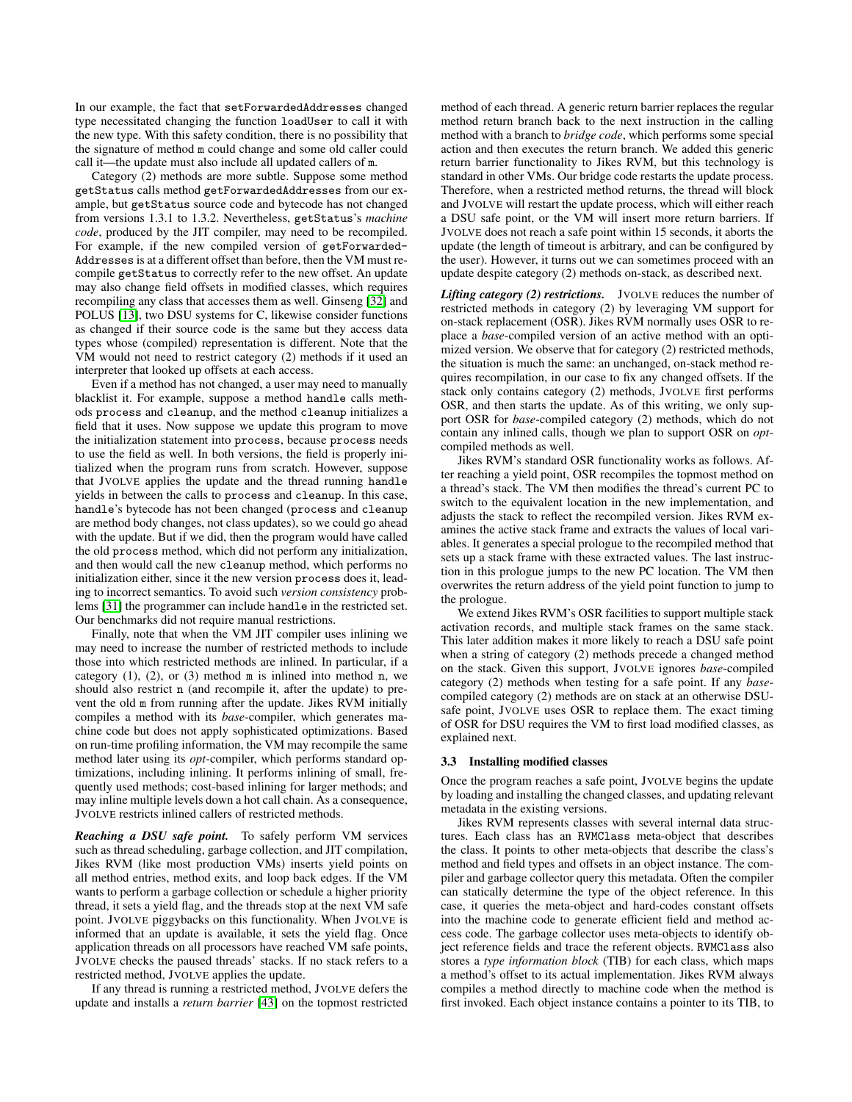In our example, the fact that setForwardedAddresses changed type necessitated changing the function loadUser to call it with the new type. With this safety condition, there is no possibility that the signature of method m could change and some old caller could call it—the update must also include all updated callers of m.

Category (2) methods are more subtle. Suppose some method getStatus calls method getForwardedAddresses from our example, but getStatus source code and bytecode has not changed from versions 1.3.1 to 1.3.2. Nevertheless, getStatus's *machine code*, produced by the JIT compiler, may need to be recompiled. For example, if the new compiled version of getForwarded-Addresses is at a different offset than before, then the VM must recompile getStatus to correctly refer to the new offset. An update may also change field offsets in modified classes, which requires recompiling any class that accesses them as well. Ginseng [\[32\]](#page-11-4) and POLUS [\[13\]](#page-10-2), two DSU systems for C, likewise consider functions as changed if their source code is the same but they access data types whose (compiled) representation is different. Note that the VM would not need to restrict category (2) methods if it used an interpreter that looked up offsets at each access.

Even if a method has not changed, a user may need to manually blacklist it. For example, suppose a method handle calls methods process and cleanup, and the method cleanup initializes a field that it uses. Now suppose we update this program to move the initialization statement into process, because process needs to use the field as well. In both versions, the field is properly initialized when the program runs from scratch. However, suppose that JVOLVE applies the update and the thread running handle yields in between the calls to process and cleanup. In this case, handle's bytecode has not been changed (process and cleanup are method body changes, not class updates), so we could go ahead with the update. But if we did, then the program would have called the old process method, which did not perform any initialization, and then would call the new cleanup method, which performs no initialization either, since it the new version process does it, leading to incorrect semantics. To avoid such *version consistency* problems [\[31\]](#page-11-14) the programmer can include handle in the restricted set. Our benchmarks did not require manual restrictions.

Finally, note that when the VM JIT compiler uses inlining we may need to increase the number of restricted methods to include those into which restricted methods are inlined. In particular, if a category  $(1)$ ,  $(2)$ , or  $(3)$  method m is inlined into method n, we should also restrict n (and recompile it, after the update) to prevent the old m from running after the update. Jikes RVM initially compiles a method with its *base*-compiler, which generates machine code but does not apply sophisticated optimizations. Based on run-time profiling information, the VM may recompile the same method later using its *opt*-compiler, which performs standard optimizations, including inlining. It performs inlining of small, frequently used methods; cost-based inlining for larger methods; and may inline multiple levels down a hot call chain. As a consequence, JVOLVE restricts inlined callers of restricted methods.

*Reaching a DSU safe point.* To safely perform VM services such as thread scheduling, garbage collection, and JIT compilation, Jikes RVM (like most production VMs) inserts yield points on all method entries, method exits, and loop back edges. If the VM wants to perform a garbage collection or schedule a higher priority thread, it sets a yield flag, and the threads stop at the next VM safe point. JVOLVE piggybacks on this functionality. When JVOLVE is informed that an update is available, it sets the yield flag. Once application threads on all processors have reached VM safe points, JVOLVE checks the paused threads' stacks. If no stack refers to a restricted method, JVOLVE applies the update.

If any thread is running a restricted method, JVOLVE defers the update and installs a *return barrier* [\[43\]](#page-11-15) on the topmost restricted method of each thread. A generic return barrier replaces the regular method return branch back to the next instruction in the calling method with a branch to *bridge code*, which performs some special action and then executes the return branch. We added this generic return barrier functionality to Jikes RVM, but this technology is standard in other VMs. Our bridge code restarts the update process. Therefore, when a restricted method returns, the thread will block and JVOLVE will restart the update process, which will either reach a DSU safe point, or the VM will insert more return barriers. If JVOLVE does not reach a safe point within 15 seconds, it aborts the update (the length of timeout is arbitrary, and can be configured by the user). However, it turns out we can sometimes proceed with an update despite category (2) methods on-stack, as described next.

*Lifting category (2) restrictions.* JVOLVE reduces the number of restricted methods in category (2) by leveraging VM support for on-stack replacement (OSR). Jikes RVM normally uses OSR to replace a *base*-compiled version of an active method with an optimized version. We observe that for category (2) restricted methods, the situation is much the same: an unchanged, on-stack method requires recompilation, in our case to fix any changed offsets. If the stack only contains category (2) methods, JVOLVE first performs OSR, and then starts the update. As of this writing, we only support OSR for *base*-compiled category (2) methods, which do not contain any inlined calls, though we plan to support OSR on *opt*compiled methods as well.

Jikes RVM's standard OSR functionality works as follows. After reaching a yield point, OSR recompiles the topmost method on a thread's stack. The VM then modifies the thread's current PC to switch to the equivalent location in the new implementation, and adjusts the stack to reflect the recompiled version. Jikes RVM examines the active stack frame and extracts the values of local variables. It generates a special prologue to the recompiled method that sets up a stack frame with these extracted values. The last instruction in this prologue jumps to the new PC location. The VM then overwrites the return address of the yield point function to jump to the prologue.

We extend Jikes RVM's OSR facilities to support multiple stack activation records, and multiple stack frames on the same stack. This later addition makes it more likely to reach a DSU safe point when a string of category (2) methods precede a changed method on the stack. Given this support, JVOLVE ignores *base*-compiled category (2) methods when testing for a safe point. If any *base*compiled category (2) methods are on stack at an otherwise DSUsafe point, JVOLVE uses OSR to replace them. The exact timing of OSR for DSU requires the VM to first load modified classes, as explained next.

#### 3.3 Installing modified classes

Once the program reaches a safe point, JVOLVE begins the update by loading and installing the changed classes, and updating relevant metadata in the existing versions.

Jikes RVM represents classes with several internal data structures. Each class has an RVMClass meta-object that describes the class. It points to other meta-objects that describe the class's method and field types and offsets in an object instance. The compiler and garbage collector query this metadata. Often the compiler can statically determine the type of the object reference. In this case, it queries the meta-object and hard-codes constant offsets into the machine code to generate efficient field and method access code. The garbage collector uses meta-objects to identify object reference fields and trace the referent objects. RVMClass also stores a *type information block* (TIB) for each class, which maps a method's offset to its actual implementation. Jikes RVM always compiles a method directly to machine code when the method is first invoked. Each object instance contains a pointer to its TIB, to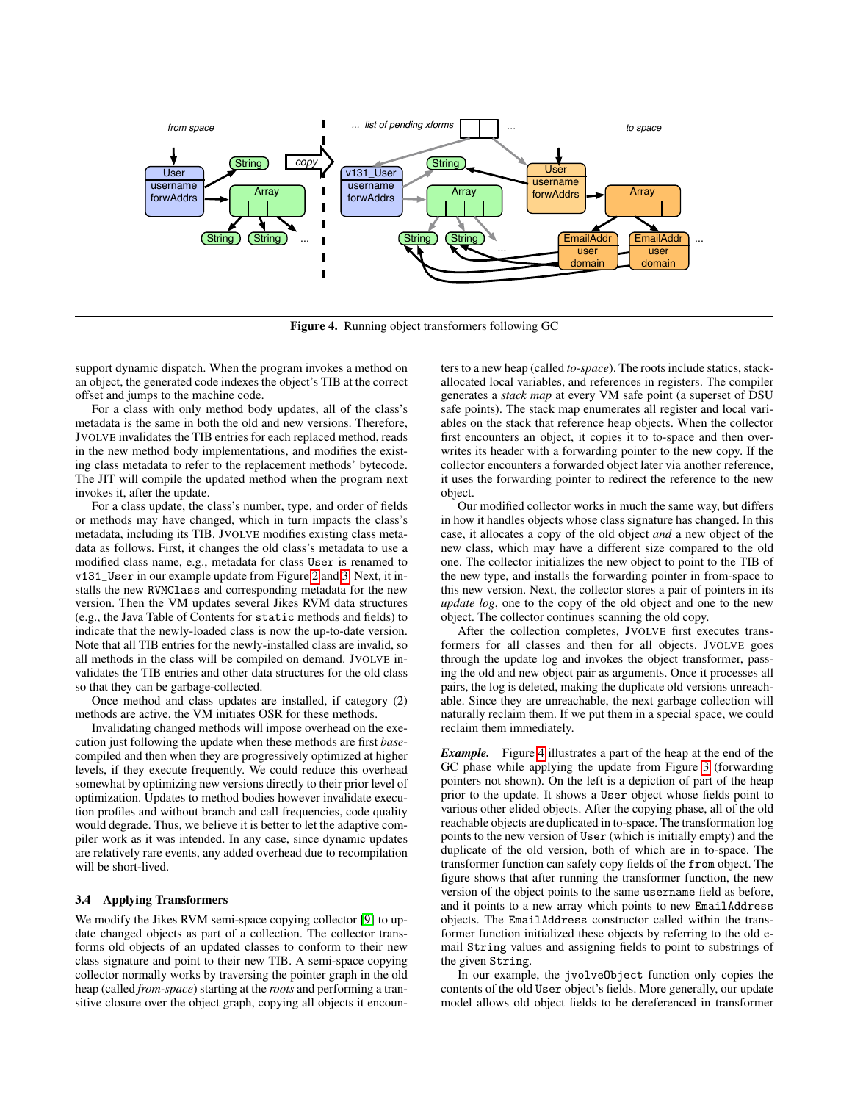

<span id="page-5-1"></span>Figure 4. Running object transformers following GC

support dynamic dispatch. When the program invokes a method on an object, the generated code indexes the object's TIB at the correct offset and jumps to the machine code.

For a class with only method body updates, all of the class's metadata is the same in both the old and new versions. Therefore, JVOLVE invalidates the TIB entries for each replaced method, reads in the new method body implementations, and modifies the existing class metadata to refer to the replacement methods' bytecode. The JIT will compile the updated method when the program next invokes it, after the update.

For a class update, the class's number, type, and order of fields or methods may have changed, which in turn impacts the class's metadata, including its TIB. JVOLVE modifies existing class metadata as follows. First, it changes the old class's metadata to use a modified class name, e.g., metadata for class User is renamed to v131\_User in our example update from Figure [2](#page-2-1) and [3.](#page-2-2) Next, it installs the new RVMClass and corresponding metadata for the new version. Then the VM updates several Jikes RVM data structures (e.g., the Java Table of Contents for static methods and fields) to indicate that the newly-loaded class is now the up-to-date version. Note that all TIB entries for the newly-installed class are invalid, so all methods in the class will be compiled on demand. JVOLVE invalidates the TIB entries and other data structures for the old class so that they can be garbage-collected.

Once method and class updates are installed, if category (2) methods are active, the VM initiates OSR for these methods.

Invalidating changed methods will impose overhead on the execution just following the update when these methods are first *base*compiled and then when they are progressively optimized at higher levels, if they execute frequently. We could reduce this overhead somewhat by optimizing new versions directly to their prior level of optimization. Updates to method bodies however invalidate execution profiles and without branch and call frequencies, code quality would degrade. Thus, we believe it is better to let the adaptive compiler work as it was intended. In any case, since dynamic updates are relatively rare events, any added overhead due to recompilation will be short-lived.

## <span id="page-5-0"></span>3.4 Applying Transformers

We modify the Jikes RVM semi-space copying collector [\[9\]](#page-10-12) to update changed objects as part of a collection. The collector transforms old objects of an updated classes to conform to their new class signature and point to their new TIB. A semi-space copying collector normally works by traversing the pointer graph in the old heap (called *from-space*) starting at the *roots* and performing a transitive closure over the object graph, copying all objects it encounters to a new heap (called *to-space*). The roots include statics, stackallocated local variables, and references in registers. The compiler generates a *stack map* at every VM safe point (a superset of DSU safe points). The stack map enumerates all register and local variables on the stack that reference heap objects. When the collector first encounters an object, it copies it to to-space and then overwrites its header with a forwarding pointer to the new copy. If the collector encounters a forwarded object later via another reference, it uses the forwarding pointer to redirect the reference to the new object.

Our modified collector works in much the same way, but differs in how it handles objects whose class signature has changed. In this case, it allocates a copy of the old object *and* a new object of the new class, which may have a different size compared to the old one. The collector initializes the new object to point to the TIB of the new type, and installs the forwarding pointer in from-space to this new version. Next, the collector stores a pair of pointers in its *update log*, one to the copy of the old object and one to the new object. The collector continues scanning the old copy.

After the collection completes, JVOLVE first executes transformers for all classes and then for all objects. JVOLVE goes through the update log and invokes the object transformer, passing the old and new object pair as arguments. Once it processes all pairs, the log is deleted, making the duplicate old versions unreachable. Since they are unreachable, the next garbage collection will naturally reclaim them. If we put them in a special space, we could reclaim them immediately.

*Example.* Figure [4](#page-5-1) illustrates a part of the heap at the end of the GC phase while applying the update from Figure [3](#page-2-2) (forwarding pointers not shown). On the left is a depiction of part of the heap prior to the update. It shows a User object whose fields point to various other elided objects. After the copying phase, all of the old reachable objects are duplicated in to-space. The transformation log points to the new version of User (which is initially empty) and the duplicate of the old version, both of which are in to-space. The transformer function can safely copy fields of the from object. The figure shows that after running the transformer function, the new version of the object points to the same username field as before, and it points to a new array which points to new EmailAddress objects. The EmailAddress constructor called within the transformer function initialized these objects by referring to the old email String values and assigning fields to point to substrings of the given String.

In our example, the jvolveObject function only copies the contents of the old User object's fields. More generally, our update model allows old object fields to be dereferenced in transformer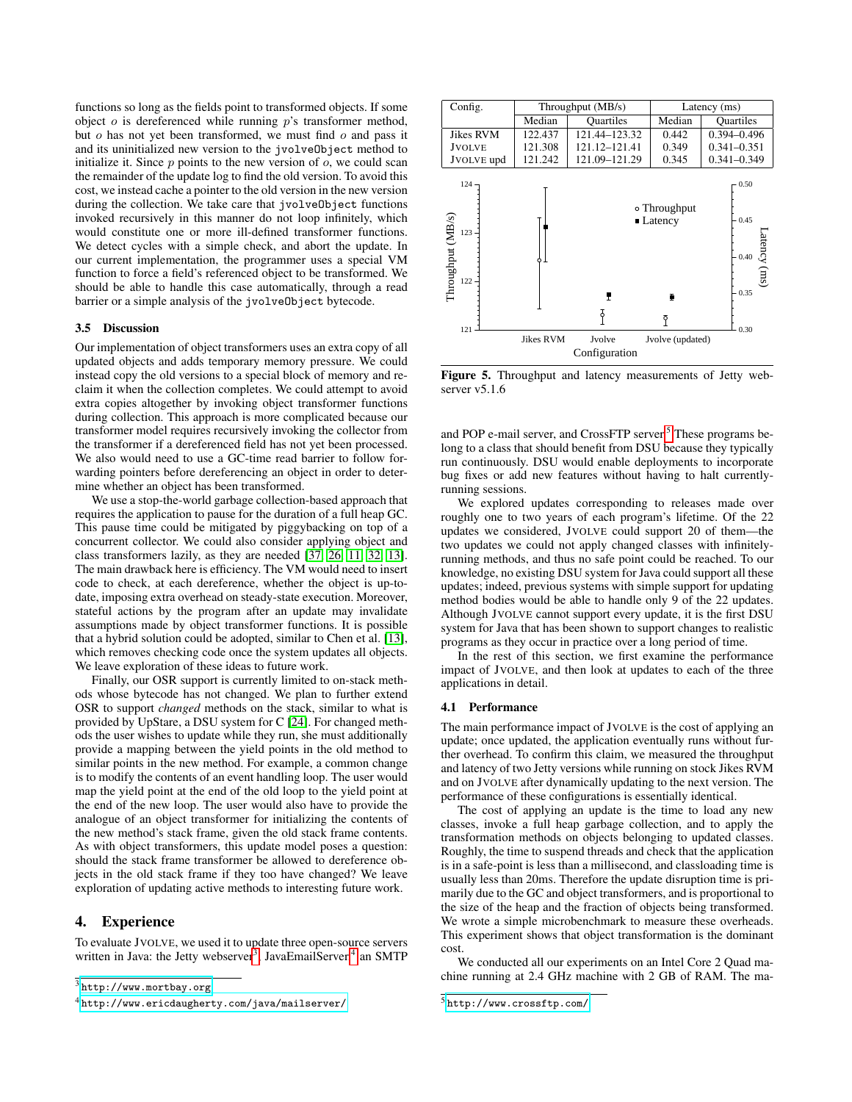functions so long as the fields point to transformed objects. If some object  $\sigma$  is dereferenced while running  $p$ 's transformer method, but  $o$  has not yet been transformed, we must find  $o$  and pass it and its uninitialized new version to the jvolveObject method to initialize it. Since  $p$  points to the new version of  $o$ , we could scan the remainder of the update log to find the old version. To avoid this cost, we instead cache a pointer to the old version in the new version during the collection. We take care that jvolveObject functions invoked recursively in this manner do not loop infinitely, which would constitute one or more ill-defined transformer functions. We detect cycles with a simple check, and abort the update. In our current implementation, the programmer uses a special VM function to force a field's referenced object to be transformed. We should be able to handle this case automatically, through a read barrier or a simple analysis of the jvolveObject bytecode.

#### 3.5 Discussion

Our implementation of object transformers uses an extra copy of all updated objects and adds temporary memory pressure. We could instead copy the old versions to a special block of memory and reclaim it when the collection completes. We could attempt to avoid extra copies altogether by invoking object transformer functions during collection. This approach is more complicated because our transformer model requires recursively invoking the collector from the transformer if a dereferenced field has not yet been processed. We also would need to use a GC-time read barrier to follow forwarding pointers before dereferencing an object in order to determine whether an object has been transformed.

We use a stop-the-world garbage collection-based approach that requires the application to pause for the duration of a full heap GC. This pause time could be mitigated by piggybacking on top of a concurrent collector. We could also consider applying object and class transformers lazily, as they are needed [\[37,](#page-11-9) [26,](#page-11-10) [11,](#page-10-10) [32,](#page-11-4) [13\]](#page-10-2). The main drawback here is efficiency. The VM would need to insert code to check, at each dereference, whether the object is up-todate, imposing extra overhead on steady-state execution. Moreover, stateful actions by the program after an update may invalidate assumptions made by object transformer functions. It is possible that a hybrid solution could be adopted, similar to Chen et al. [\[13\]](#page-10-2), which removes checking code once the system updates all objects. We leave exploration of these ideas to future work.

Finally, our OSR support is currently limited to on-stack methods whose bytecode has not changed. We plan to further extend OSR to support *changed* methods on the stack, similar to what is provided by UpStare, a DSU system for C [\[24\]](#page-11-5). For changed methods the user wishes to update while they run, she must additionally provide a mapping between the yield points in the old method to similar points in the new method. For example, a common change is to modify the contents of an event handling loop. The user would map the yield point at the end of the old loop to the yield point at the end of the new loop. The user would also have to provide the analogue of an object transformer for initializing the contents of the new method's stack frame, given the old stack frame contents. As with object transformers, this update model poses a question: should the stack frame transformer be allowed to dereference objects in the old stack frame if they too have changed? We leave exploration of updating active methods to interesting future work.

# <span id="page-6-0"></span>4. Experience

To evaluate JVOLVE, we used it to update three open-source servers written in Java: the Jetty webserver<sup>[3](#page-6-1)</sup>, JavaEmailServer,<sup>[4](#page-6-2)</sup> an SMTP

<span id="page-6-1"></span><sup>3</sup> <http://www.mortbay.org>

| Config.                                       |                          | Throughput (MB/s) |                                                   | Latency (ms)                                          |
|-----------------------------------------------|--------------------------|-------------------|---------------------------------------------------|-------------------------------------------------------|
|                                               | Median                   | <b>Quartiles</b>  | Median                                            | <b>Quartiles</b>                                      |
| <b>Jikes RVM</b>                              | 122.437                  | 121.44–123.32     | 0.442                                             | 0.394-0.496                                           |
| <b>JVOLVE</b>                                 | 121.308<br>121.12-121.41 |                   | 0.349                                             | $0.341 - 0.351$                                       |
| JVOLVE upd                                    | 121.242<br>121.09-121.29 |                   | 0.345                                             | $0.341 - 0.349$                                       |
| 124<br>Throughput (MB/s)<br>123<br>122<br>121 |                          | Y<br>₹            | $\circ$ Throughput<br>$\blacksquare$ Latency<br>የ | 0.50<br>0.45<br>$atency$ (ms)<br>0.40<br>0.35<br>0.30 |
|                                               | <b>Jikes RVM</b>         | Jvolve            | Jvolve (updated)                                  |                                                       |
|                                               |                          | Configuration     |                                                   |                                                       |

<span id="page-6-4"></span>Figure 5. Throughput and latency measurements of Jetty webserver v5.1.6

and POP e-mail server, and CrossFTP server.<sup>[5](#page-6-3)</sup> These programs belong to a class that should benefit from DSU because they typically run continuously. DSU would enable deployments to incorporate bug fixes or add new features without having to halt currentlyrunning sessions.

We explored updates corresponding to releases made over roughly one to two years of each program's lifetime. Of the 22 updates we considered, JVOLVE could support 20 of them—the two updates we could not apply changed classes with infinitelyrunning methods, and thus no safe point could be reached. To our knowledge, no existing DSU system for Java could support all these updates; indeed, previous systems with simple support for updating method bodies would be able to handle only 9 of the 22 updates. Although JVOLVE cannot support every update, it is the first DSU system for Java that has been shown to support changes to realistic programs as they occur in practice over a long period of time.

In the rest of this section, we first examine the performance impact of JVOLVE, and then look at updates to each of the three applications in detail.

#### 4.1 Performance

The main performance impact of JVOLVE is the cost of applying an update; once updated, the application eventually runs without further overhead. To confirm this claim, we measured the throughput and latency of two Jetty versions while running on stock Jikes RVM and on JVOLVE after dynamically updating to the next version. The performance of these configurations is essentially identical.

The cost of applying an update is the time to load any new classes, invoke a full heap garbage collection, and to apply the transformation methods on objects belonging to updated classes. Roughly, the time to suspend threads and check that the application is in a safe-point is less than a millisecond, and classloading time is usually less than 20ms. Therefore the update disruption time is primarily due to the GC and object transformers, and is proportional to the size of the heap and the fraction of objects being transformed. We wrote a simple microbenchmark to measure these overheads. This experiment shows that object transformation is the dominant cost.

We conducted all our experiments on an Intel Core 2 Quad machine running at 2.4 GHz machine with 2 GB of RAM. The ma-

<span id="page-6-2"></span><sup>4</sup> <http://www.ericdaugherty.com/java/mailserver/>

<span id="page-6-3"></span><sup>5</sup> <http://www.crossftp.com/>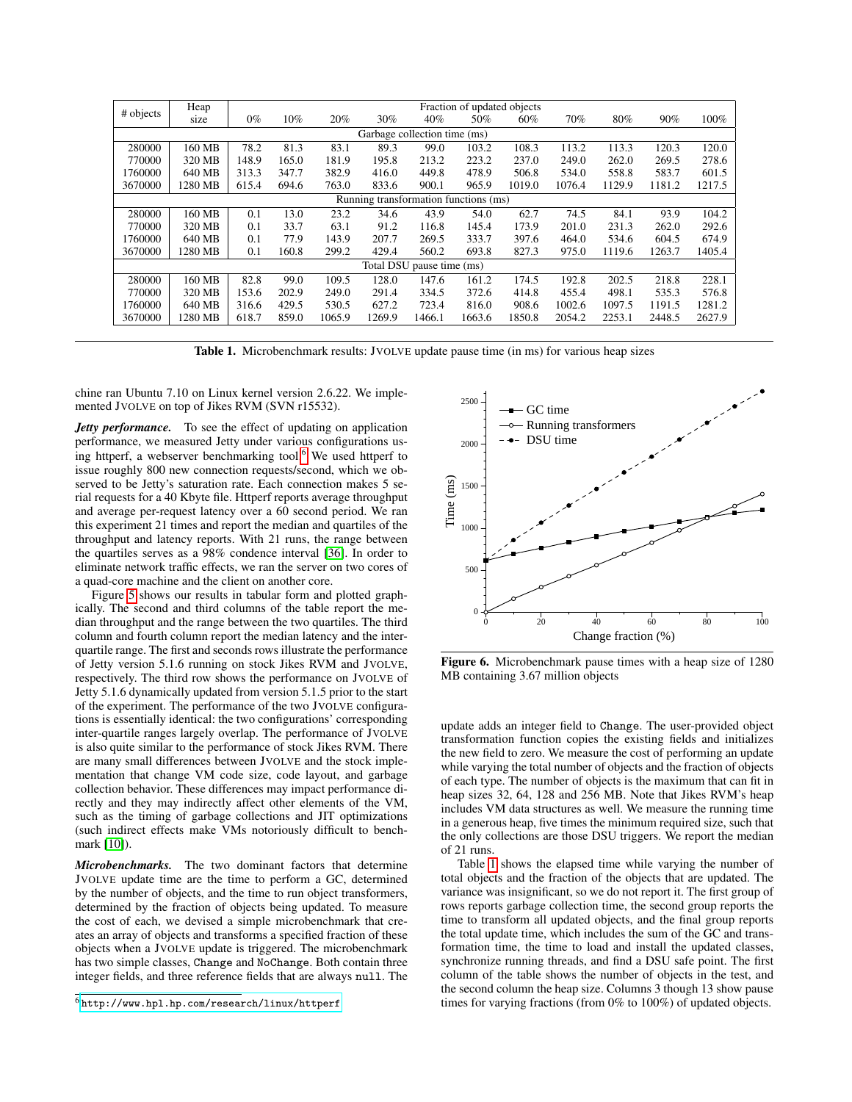| # objects | Heap    | Fraction of updated objects |        |        |                                       |                           |        |        |        |        |        |        |
|-----------|---------|-----------------------------|--------|--------|---------------------------------------|---------------------------|--------|--------|--------|--------|--------|--------|
|           | size    | $0\%$                       | $10\%$ | 20%    | 30%                                   | 40%                       | 50%    | 60%    | 70%    | 80%    | 90%    | 100%   |
|           |         |                             |        |        | Garbage collection time (ms)          |                           |        |        |        |        |        |        |
| 280000    | 160 MB  | 78.2                        | 81.3   | 83.1   | 89.3                                  | 99.0                      | 103.2  | 108.3  | 113.2  | 113.3  | 120.3  | 120.0  |
| 770000    | 320 MB  | 148.9                       | 165.0  | 181.9  | 195.8                                 | 213.2                     | 223.2  | 237.0  | 249.0  | 262.0  | 269.5  | 278.6  |
| 1760000   | 640 MB  | 313.3                       | 347.7  | 382.9  | 416.0                                 | 449.8                     | 478.9  | 506.8  | 534.0  | 558.8  | 583.7  | 601.5  |
| 3670000   | 1280 MB | 615.4                       | 694.6  | 763.0  | 833.6                                 | 900.1                     | 965.9  | 1019.0 | 1076.4 | 1129.9 | 1181.2 | 1217.5 |
|           |         |                             |        |        | Running transformation functions (ms) |                           |        |        |        |        |        |        |
| 280000    | 160 MB  | 0.1                         | 13.0   | 23.2   | 34.6                                  | 43.9                      | 54.0   | 62.7   | 74.5   | 84.1   | 93.9   | 104.2  |
| 770000    | 320 MB  | 0.1                         | 33.7   | 63.1   | 91.2                                  | 116.8                     | 145.4  | 173.9  | 201.0  | 231.3  | 262.0  | 292.6  |
| 1760000   | 640 MB  | 0.1                         | 77.9   | 143.9  | 207.7                                 | 269.5                     | 333.7  | 397.6  | 464.0  | 534.6  | 604.5  | 674.9  |
| 3670000   | 1280 MB | 0.1                         | 160.8  | 299.2  | 429.4                                 | 560.2                     | 693.8  | 827.3  | 975.0  | 1119.6 | 1263.7 | 1405.4 |
|           |         |                             |        |        |                                       | Total DSU pause time (ms) |        |        |        |        |        |        |
| 280000    | 160 MB  | 82.8                        | 99.0   | 109.5  | 128.0                                 | 147.6                     | 161.2  | 174.5  | 192.8  | 202.5  | 218.8  | 228.1  |
| 770000    | 320 MB  | 153.6                       | 202.9  | 249.0  | 291.4                                 | 334.5                     | 372.6  | 414.8  | 455.4  | 498.1  | 535.3  | 576.8  |
| 1760000   | 640 MB  | 316.6                       | 429.5  | 530.5  | 627.2                                 | 723.4                     | 816.0  | 908.6  | 1002.6 | 1097.5 | 1191.5 | 1281.2 |
| 3670000   | 1280 MB | 618.7                       | 859.0  | 1065.9 | 1269.9                                | 1466.1                    | 1663.6 | 1850.8 | 2054.2 | 2253.1 | 2448.5 | 2627.9 |

<span id="page-7-1"></span>Table 1. Microbenchmark results: JVOLVE update pause time (in ms) for various heap sizes

chine ran Ubuntu 7.10 on Linux kernel version 2.6.22. We implemented JVOLVE on top of Jikes RVM (SVN r15532).

*Jetty performance*. To see the effect of updating on application performance, we measured Jetty under various configurations using httperf, a webserver benchmarking tool. $6$  We used httperf to issue roughly 800 new connection requests/second, which we observed to be Jetty's saturation rate. Each connection makes 5 serial requests for a 40 Kbyte file. Httperf reports average throughput and average per-request latency over a 60 second period. We ran this experiment 21 times and report the median and quartiles of the throughput and latency reports. With 21 runs, the range between the quartiles serves as a 98% condence interval [\[36\]](#page-11-21). In order to eliminate network traffic effects, we ran the server on two cores of a quad-core machine and the client on another core.

Figure [5](#page-6-4) shows our results in tabular form and plotted graphically. The second and third columns of the table report the median throughput and the range between the two quartiles. The third column and fourth column report the median latency and the interquartile range. The first and seconds rows illustrate the performance of Jetty version 5.1.6 running on stock Jikes RVM and JVOLVE, respectively. The third row shows the performance on JVOLVE of Jetty 5.1.6 dynamically updated from version 5.1.5 prior to the start of the experiment. The performance of the two JVOLVE configurations is essentially identical: the two configurations' corresponding inter-quartile ranges largely overlap. The performance of JVOLVE is also quite similar to the performance of stock Jikes RVM. There are many small differences between JVOLVE and the stock implementation that change VM code size, code layout, and garbage collection behavior. These differences may impact performance directly and they may indirectly affect other elements of the VM, such as the timing of garbage collections and JIT optimizations (such indirect effects make VMs notoriously difficult to benchmark [\[10\]](#page-10-13)).

*Microbenchmarks.* The two dominant factors that determine JVOLVE update time are the time to perform a GC, determined by the number of objects, and the time to run object transformers, determined by the fraction of objects being updated. To measure the cost of each, we devised a simple microbenchmark that creates an array of objects and transforms a specified fraction of these objects when a JVOLVE update is triggered. The microbenchmark has two simple classes, Change and NoChange. Both contain three integer fields, and three reference fields that are always null. The



<span id="page-7-2"></span>Figure 6. Microbenchmark pause times with a heap size of 1280 MB containing 3.67 million objects

update adds an integer field to Change. The user-provided object transformation function copies the existing fields and initializes the new field to zero. We measure the cost of performing an update while varying the total number of objects and the fraction of objects of each type. The number of objects is the maximum that can fit in heap sizes 32, 64, 128 and 256 MB. Note that Jikes RVM's heap includes VM data structures as well. We measure the running time in a generous heap, five times the minimum required size, such that the only collections are those DSU triggers. We report the median of 21 runs.

Table [1](#page-7-1) shows the elapsed time while varying the number of total objects and the fraction of the objects that are updated. The variance was insignificant, so we do not report it. The first group of rows reports garbage collection time, the second group reports the time to transform all updated objects, and the final group reports the total update time, which includes the sum of the GC and transformation time, the time to load and install the updated classes, synchronize running threads, and find a DSU safe point. The first column of the table shows the number of objects in the test, and the second column the heap size. Columns 3 though 13 show pause times for varying fractions (from 0% to 100%) of updated objects.

<span id="page-7-0"></span><sup>6</sup> <http://www.hpl.hp.com/research/linux/httperf>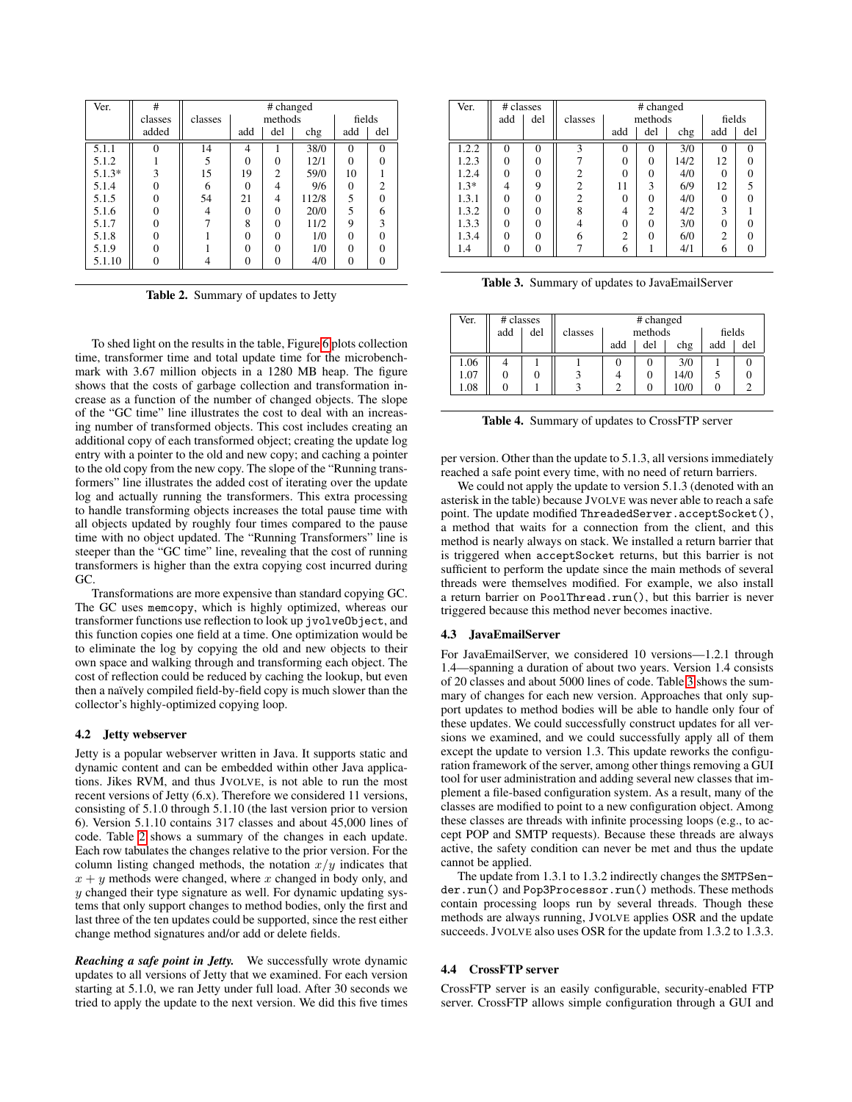| Ver.     | #        | # changed |                |                |       |                          |          |  |
|----------|----------|-----------|----------------|----------------|-------|--------------------------|----------|--|
|          | classes  | classes   | methods        |                |       | fields                   |          |  |
|          | added    |           | add            | del            | chg   | add                      | del      |  |
| 5.1.1    | $\Omega$ | 14        | $\overline{4}$ | 1              | 38/0  | $\Omega$                 | $\Omega$ |  |
| 5.1.2    |          | 5         | $\Omega$       | 0              | 12/1  |                          | 0        |  |
| $5.1.3*$ | 3        | 15        | 19             | $\overline{2}$ | 59/0  | 10                       |          |  |
| 5.1.4    | $\Omega$ | 6         | $\Omega$       | 4              | 9/6   | $\Omega$                 | 2        |  |
| 5.1.5    |          | 54        | 21             | 4              | 112/8 | 5                        | $\Omega$ |  |
| 5.1.6    |          | 4         | 0              | $\Omega$       | 20/0  | $\overline{\phantom{0}}$ | 6        |  |
| 5.1.7    | 0        |           | 8              | 0              | 11/2  | 9                        | 3        |  |
| 5.1.8    |          |           | $\Omega$       | $\Omega$       | 1/0   | $\Omega$                 | $\Omega$ |  |
| 5.1.9    |          |           | 0              | 0              | 1/0   | 0                        | 0        |  |
| 5.1.10   | 0        |           |                | 0              | 4/0   | 0                        | 0        |  |

<span id="page-8-0"></span>Table 2. Summary of updates to Jetty

To shed light on the results in the table, Figure [6](#page-7-2) plots collection time, transformer time and total update time for the microbenchmark with 3.67 million objects in a 1280 MB heap. The figure shows that the costs of garbage collection and transformation increase as a function of the number of changed objects. The slope of the "GC time" line illustrates the cost to deal with an increasing number of transformed objects. This cost includes creating an additional copy of each transformed object; creating the update log entry with a pointer to the old and new copy; and caching a pointer to the old copy from the new copy. The slope of the "Running transformers" line illustrates the added cost of iterating over the update log and actually running the transformers. This extra processing to handle transforming objects increases the total pause time with all objects updated by roughly four times compared to the pause time with no object updated. The "Running Transformers" line is steeper than the "GC time" line, revealing that the cost of running transformers is higher than the extra copying cost incurred during GC.

Transformations are more expensive than standard copying GC. The GC uses memcopy, which is highly optimized, whereas our transformer functions use reflection to look up jvolveObject, and this function copies one field at a time. One optimization would be to eliminate the log by copying the old and new objects to their own space and walking through and transforming each object. The cost of reflection could be reduced by caching the lookup, but even then a naïvely compiled field-by-field copy is much slower than the collector's highly-optimized copying loop.

## 4.2 Jetty webserver

Jetty is a popular webserver written in Java. It supports static and dynamic content and can be embedded within other Java applications. Jikes RVM, and thus JVOLVE, is not able to run the most recent versions of Jetty (6.x). Therefore we considered 11 versions, consisting of 5.1.0 through 5.1.10 (the last version prior to version 6). Version 5.1.10 contains 317 classes and about 45,000 lines of code. Table [2](#page-8-0) shows a summary of the changes in each update. Each row tabulates the changes relative to the prior version. For the column listing changed methods, the notation  $x/y$  indicates that  $x + y$  methods were changed, where x changed in body only, and y changed their type signature as well. For dynamic updating systems that only support changes to method bodies, only the first and last three of the ten updates could be supported, since the rest either change method signatures and/or add or delete fields.

*Reaching a safe point in Jetty.* We successfully wrote dynamic updates to all versions of Jetty that we examined. For each version starting at 5.1.0, we ran Jetty under full load. After 30 seconds we tried to apply the update to the next version. We did this five times

| Ver.   | # classes |          | # changed      |                |                |      |                |          |  |
|--------|-----------|----------|----------------|----------------|----------------|------|----------------|----------|--|
|        | add       | del      | classes        | methods        |                |      | fields         |          |  |
|        |           |          |                | add            | del            | chg  | add            | del      |  |
| 1.2.2  | $\Omega$  | 0        | 3              | $\theta$       | $\Omega$       | 3/0  | $\theta$       | $\Omega$ |  |
| 1.2.3  | 0         | 0        |                | $\theta$       | $\Omega$       | 14/2 | 12             | $\Omega$ |  |
| 1.2.4  | 0         | $\Omega$ | $\overline{c}$ | $\Omega$       | $\Omega$       | 4/0  | $\theta$       | $\Omega$ |  |
| $1.3*$ | 4         | Q        | $\overline{2}$ | 11             | 3              | 6/9  | 12             | 5        |  |
| 1.3.1  | $\Omega$  | $\Omega$ | $\overline{2}$ | $\theta$       | $\theta$       | 4/0  | $\theta$       | $\Omega$ |  |
| 1.3.2  | $\Omega$  | $\Omega$ | 8              | 4              | $\overline{c}$ | 4/2  | 3              |          |  |
| 1.3.3  | 0         | $\Omega$ |                | $\theta$       | $\Omega$       | 3/0  | $\Omega$       |          |  |
| 1.3.4  | 0         | $\Omega$ | 6              | $\overline{c}$ | $\Omega$       | 6/0  | $\overline{2}$ |          |  |
| 1.4    | 0         |          |                | 6              |                | 4/1  | 6              | $\Omega$ |  |

<span id="page-8-1"></span>Table 3. Summary of updates to JavaEmailServer

| Ver. | # classes |     | # changed |         |     |      |        |     |  |
|------|-----------|-----|-----------|---------|-----|------|--------|-----|--|
|      | add       | del | classes   | methods |     |      | fields |     |  |
|      |           |     |           | add     | del | chg  | add    | del |  |
| 1.06 |           |     |           |         |     | 3/0  |        |     |  |
| 1.07 |           |     |           |         |     | 14/0 |        |     |  |
| 1.08 |           |     |           |         |     | 10/0 |        |     |  |

<span id="page-8-2"></span>Table 4. Summary of updates to CrossFTP server

per version. Other than the update to 5.1.3, all versions immediately reached a safe point every time, with no need of return barriers.

We could not apply the update to version 5.1.3 (denoted with an asterisk in the table) because JVOLVE was never able to reach a safe point. The update modified ThreadedServer.acceptSocket(), a method that waits for a connection from the client, and this method is nearly always on stack. We installed a return barrier that is triggered when acceptSocket returns, but this barrier is not sufficient to perform the update since the main methods of several threads were themselves modified. For example, we also install a return barrier on PoolThread.run(), but this barrier is never triggered because this method never becomes inactive.

## 4.3 JavaEmailServer

For JavaEmailServer, we considered 10 versions—1.2.1 through 1.4—spanning a duration of about two years. Version 1.4 consists of 20 classes and about 5000 lines of code. Table [3](#page-8-1) shows the summary of changes for each new version. Approaches that only support updates to method bodies will be able to handle only four of these updates. We could successfully construct updates for all versions we examined, and we could successfully apply all of them except the update to version 1.3. This update reworks the configuration framework of the server, among other things removing a GUI tool for user administration and adding several new classes that implement a file-based configuration system. As a result, many of the classes are modified to point to a new configuration object. Among these classes are threads with infinite processing loops (e.g., to accept POP and SMTP requests). Because these threads are always active, the safety condition can never be met and thus the update cannot be applied.

The update from 1.3.1 to 1.3.2 indirectly changes the SMTPSender.run() and Pop3Processor.run() methods. These methods contain processing loops run by several threads. Though these methods are always running, JVOLVE applies OSR and the update succeeds. JVOLVE also uses OSR for the update from 1.3.2 to 1.3.3.

## 4.4 CrossFTP server

CrossFTP server is an easily configurable, security-enabled FTP server. CrossFTP allows simple configuration through a GUI and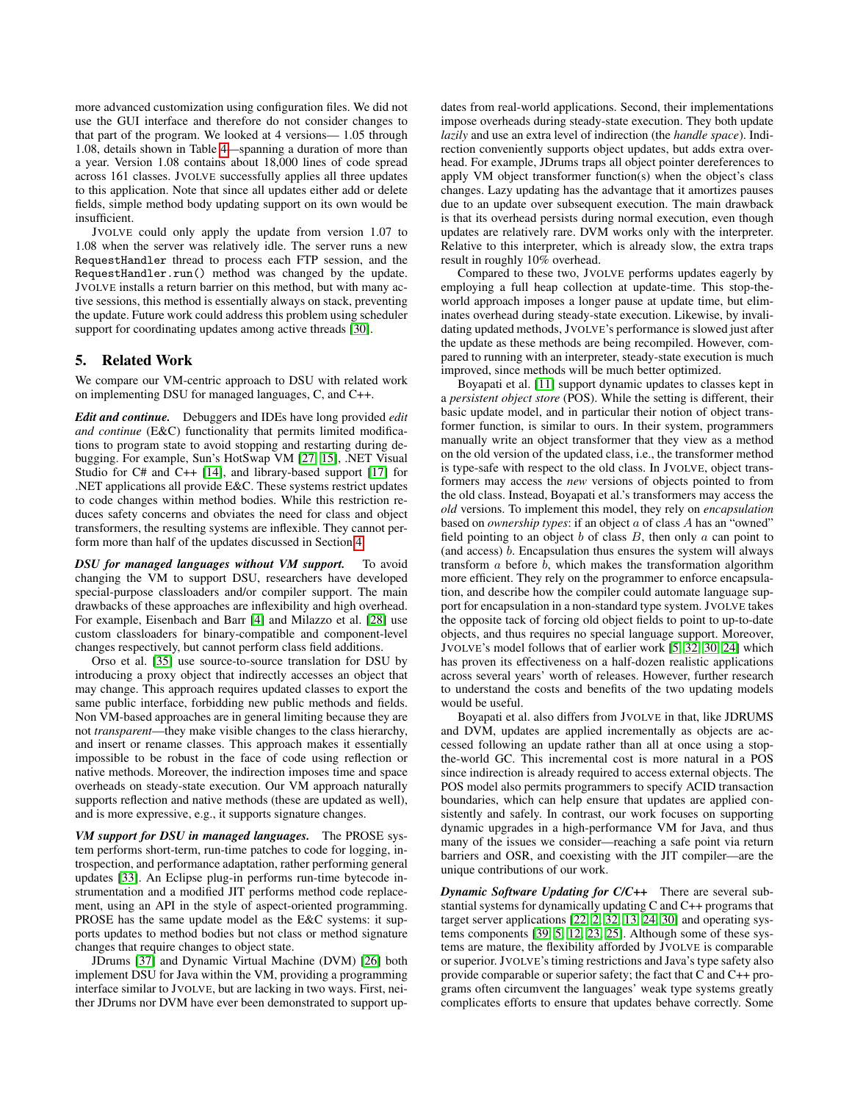more advanced customization using configuration files. We did not use the GUI interface and therefore do not consider changes to that part of the program. We looked at 4 versions— 1.05 through 1.08, details shown in Table [4—](#page-8-2)spanning a duration of more than a year. Version 1.08 contains about 18,000 lines of code spread across 161 classes. JVOLVE successfully applies all three updates to this application. Note that since all updates either add or delete fields, simple method body updating support on its own would be insufficient.

JVOLVE could only apply the update from version 1.07 to 1.08 when the server was relatively idle. The server runs a new RequestHandler thread to process each FTP session, and the RequestHandler.run() method was changed by the update. JVOLVE installs a return barrier on this method, but with many active sessions, this method is essentially always on stack, preventing the update. Future work could address this problem using scheduler support for coordinating updates among active threads [\[30\]](#page-11-16).

# <span id="page-9-0"></span>5. Related Work

We compare our VM-centric approach to DSU with related work on implementing DSU for managed languages, C, and C++.

*Edit and continue.* Debuggers and IDEs have long provided *edit and continue* (E&C) functionality that permits limited modifications to program state to avoid stopping and restarting during debugging. For example, Sun's HotSwap VM [\[27,](#page-11-8) [15\]](#page-10-14), .NET Visual Studio for C# and C++ [\[14\]](#page-10-6), and library-based support [\[17\]](#page-10-8) for .NET applications all provide E&C. These systems restrict updates to code changes within method bodies. While this restriction reduces safety concerns and obviates the need for class and object transformers, the resulting systems are inflexible. They cannot perform more than half of the updates discussed in Section [4.](#page-6-0)

*DSU for managed languages without VM support.* To avoid changing the VM to support DSU, researchers have developed special-purpose classloaders and/or compiler support. The main drawbacks of these approaches are inflexibility and high overhead. For example, Eisenbach and Barr [\[4\]](#page-10-15) and Milazzo et al. [\[28\]](#page-11-22) use custom classloaders for binary-compatible and component-level changes respectively, but cannot perform class field additions.

Orso et al. [\[35\]](#page-11-11) use source-to-source translation for DSU by introducing a proxy object that indirectly accesses an object that may change. This approach requires updated classes to export the same public interface, forbidding new public methods and fields. Non VM-based approaches are in general limiting because they are not *transparent*—they make visible changes to the class hierarchy, and insert or rename classes. This approach makes it essentially impossible to be robust in the face of code using reflection or native methods. Moreover, the indirection imposes time and space overheads on steady-state execution. Our VM approach naturally supports reflection and native methods (these are updated as well), and is more expressive, e.g., it supports signature changes.

*VM support for DSU in managed languages.* The PROSE system performs short-term, run-time patches to code for logging, introspection, and performance adaptation, rather performing general updates [\[33\]](#page-11-23). An Eclipse plug-in performs run-time bytecode instrumentation and a modified JIT performs method code replacement, using an API in the style of aspect-oriented programming. PROSE has the same update model as the E&C systems: it supports updates to method bodies but not class or method signature changes that require changes to object state.

JDrums [\[37\]](#page-11-9) and Dynamic Virtual Machine (DVM) [\[26\]](#page-11-10) both implement DSU for Java within the VM, providing a programming interface similar to JVOLVE, but are lacking in two ways. First, neither JDrums nor DVM have ever been demonstrated to support updates from real-world applications. Second, their implementations impose overheads during steady-state execution. They both update *lazily* and use an extra level of indirection (the *handle space*). Indirection conveniently supports object updates, but adds extra overhead. For example, JDrums traps all object pointer dereferences to apply VM object transformer function(s) when the object's class changes. Lazy updating has the advantage that it amortizes pauses due to an update over subsequent execution. The main drawback is that its overhead persists during normal execution, even though updates are relatively rare. DVM works only with the interpreter. Relative to this interpreter, which is already slow, the extra traps result in roughly 10% overhead.

Compared to these two, JVOLVE performs updates eagerly by employing a full heap collection at update-time. This stop-theworld approach imposes a longer pause at update time, but eliminates overhead during steady-state execution. Likewise, by invalidating updated methods, JVOLVE's performance is slowed just after the update as these methods are being recompiled. However, compared to running with an interpreter, steady-state execution is much improved, since methods will be much better optimized.

Boyapati et al. [\[11\]](#page-10-10) support dynamic updates to classes kept in a *persistent object store* (POS). While the setting is different, their basic update model, and in particular their notion of object transformer function, is similar to ours. In their system, programmers manually write an object transformer that they view as a method on the old version of the updated class, i.e., the transformer method is type-safe with respect to the old class. In JVOLVE, object transformers may access the *new* versions of objects pointed to from the old class. Instead, Boyapati et al.'s transformers may access the *old* versions. To implement this model, they rely on *encapsulation* based on *ownership types*: if an object a of class A has an "owned" field pointing to an object  $b$  of class  $B$ , then only  $a$  can point to (and access) b. Encapsulation thus ensures the system will always transform  $a$  before  $b$ , which makes the transformation algorithm more efficient. They rely on the programmer to enforce encapsulation, and describe how the compiler could automate language support for encapsulation in a non-standard type system. JVOLVE takes the opposite tack of forcing old object fields to point to up-to-date objects, and thus requires no special language support. Moreover, JVOLVE's model follows that of earlier work [\[5,](#page-10-3) [32,](#page-11-4) [30,](#page-11-16) [24\]](#page-11-5) which has proven its effectiveness on a half-dozen realistic applications across several years' worth of releases. However, further research to understand the costs and benefits of the two updating models would be useful.

Boyapati et al. also differs from JVOLVE in that, like JDRUMS and DVM, updates are applied incrementally as objects are accessed following an update rather than all at once using a stopthe-world GC. This incremental cost is more natural in a POS since indirection is already required to access external objects. The POS model also permits programmers to specify ACID transaction boundaries, which can help ensure that updates are applied consistently and safely. In contrast, our work focuses on supporting dynamic upgrades in a high-performance VM for Java, and thus many of the issues we consider—reaching a safe point via return barriers and OSR, and coexisting with the JIT compiler—are the unique contributions of our work.

*Dynamic Software Updating for C/C++* There are several substantial systems for dynamically updating C and C++ programs that target server applications [\[22,](#page-11-18) [2,](#page-10-0) [32,](#page-11-4) [13,](#page-10-2) [24,](#page-11-5) [30\]](#page-11-16) and operating systems components [\[39,](#page-11-6) [5,](#page-10-3) [12,](#page-10-5) [23,](#page-11-24) [25\]](#page-11-7). Although some of these systems are mature, the flexibility afforded by JVOLVE is comparable or superior. JVOLVE's timing restrictions and Java's type safety also provide comparable or superior safety; the fact that C and C++ programs often circumvent the languages' weak type systems greatly complicates efforts to ensure that updates behave correctly. Some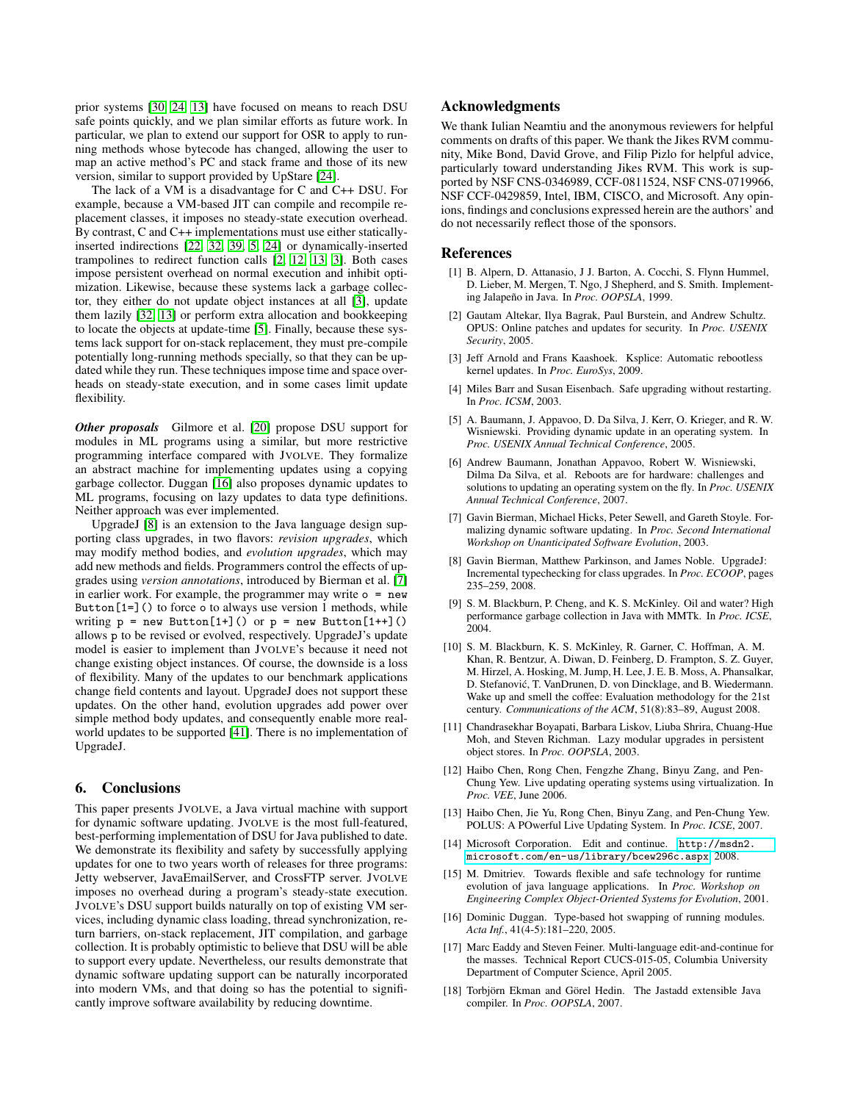prior systems [\[30,](#page-11-16) [24,](#page-11-5) [13\]](#page-10-2) have focused on means to reach DSU safe points quickly, and we plan similar efforts as future work. In particular, we plan to extend our support for OSR to apply to running methods whose bytecode has changed, allowing the user to map an active method's PC and stack frame and those of its new version, similar to support provided by UpStare [\[24\]](#page-11-5).

The lack of a VM is a disadvantage for C and C++ DSU. For example, because a VM-based JIT can compile and recompile replacement classes, it imposes no steady-state execution overhead. By contrast, C and C++ implementations must use either staticallyinserted indirections [\[22,](#page-11-18) [32,](#page-11-4) [39,](#page-11-6) [5,](#page-10-3) [24\]](#page-11-5) or dynamically-inserted trampolines to redirect function calls [\[2,](#page-10-0) [12,](#page-10-5) [13,](#page-10-2) [3\]](#page-10-1). Both cases impose persistent overhead on normal execution and inhibit optimization. Likewise, because these systems lack a garbage collector, they either do not update object instances at all [\[3\]](#page-10-1), update them lazily [\[32,](#page-11-4) [13\]](#page-10-2) or perform extra allocation and bookkeeping to locate the objects at update-time [\[5\]](#page-10-3). Finally, because these systems lack support for on-stack replacement, they must pre-compile potentially long-running methods specially, so that they can be updated while they run. These techniques impose time and space overheads on steady-state execution, and in some cases limit update flexibility.

*Other proposals* Gilmore et al. [\[20\]](#page-11-17) propose DSU support for modules in ML programs using a similar, but more restrictive programming interface compared with JVOLVE. They formalize an abstract machine for implementing updates using a copying garbage collector. Duggan [\[16\]](#page-10-16) also proposes dynamic updates to ML programs, focusing on lazy updates to data type definitions. Neither approach was ever implemented.

UpgradeJ [\[8\]](#page-10-7) is an extension to the Java language design supporting class upgrades, in two flavors: *revision upgrades*, which may modify method bodies, and *evolution upgrades*, which may add new methods and fields. Programmers control the effects of upgrades using *version annotations*, introduced by Bierman et al. [\[7\]](#page-10-17) in earlier work. For example, the programmer may write  $o = new$ Button $[1=]$  () to force o to always use version 1 methods, while writing  $p = new Button[1+]()$  or  $p = new Button[1+]()$ allows p to be revised or evolved, respectively. UpgradeJ's update model is easier to implement than JVOLVE's because it need not change existing object instances. Of course, the downside is a loss of flexibility. Many of the updates to our benchmark applications change field contents and layout. UpgradeJ does not support these updates. On the other hand, evolution upgrades add power over simple method body updates, and consequently enable more realworld updates to be supported [\[41\]](#page-11-25). There is no implementation of UpgradeJ.

## 6. Conclusions

This paper presents JVOLVE, a Java virtual machine with support for dynamic software updating. JVOLVE is the most full-featured, best-performing implementation of DSU for Java published to date. We demonstrate its flexibility and safety by successfully applying updates for one to two years worth of releases for three programs: Jetty webserver, JavaEmailServer, and CrossFTP server. JVOLVE imposes no overhead during a program's steady-state execution. JVOLVE's DSU support builds naturally on top of existing VM services, including dynamic class loading, thread synchronization, return barriers, on-stack replacement, JIT compilation, and garbage collection. It is probably optimistic to believe that DSU will be able to support every update. Nevertheless, our results demonstrate that dynamic software updating support can be naturally incorporated into modern VMs, and that doing so has the potential to significantly improve software availability by reducing downtime.

## Acknowledgments

We thank Iulian Neamtiu and the anonymous reviewers for helpful comments on drafts of this paper. We thank the Jikes RVM community, Mike Bond, David Grove, and Filip Pizlo for helpful advice, particularly toward understanding Jikes RVM. This work is supported by NSF CNS-0346989, CCF-0811524, NSF CNS-0719966, NSF CCF-0429859, Intel, IBM, CISCO, and Microsoft. Any opinions, findings and conclusions expressed herein are the authors' and do not necessarily reflect those of the sponsors.

# References

- <span id="page-10-11"></span>[1] B. Alpern, D. Attanasio, J J. Barton, A. Cocchi, S. Flynn Hummel, D. Lieber, M. Mergen, T. Ngo, J Shepherd, and S. Smith. Implementing Jalapeño in Java. In Proc. OOPSLA, 1999.
- <span id="page-10-0"></span>[2] Gautam Altekar, Ilya Bagrak, Paul Burstein, and Andrew Schultz. OPUS: Online patches and updates for security. In *Proc. USENIX Security*, 2005.
- <span id="page-10-1"></span>[3] Jeff Arnold and Frans Kaashoek. Ksplice: Automatic rebootless kernel updates. In *Proc. EuroSys*, 2009.
- <span id="page-10-15"></span>[4] Miles Barr and Susan Eisenbach. Safe upgrading without restarting. In *Proc. ICSM*, 2003.
- <span id="page-10-3"></span>[5] A. Baumann, J. Appavoo, D. Da Silva, J. Kerr, O. Krieger, and R. W. Wisniewski. Providing dynamic update in an operating system. In *Proc. USENIX Annual Technical Conference*, 2005.
- <span id="page-10-4"></span>[6] Andrew Baumann, Jonathan Appavoo, Robert W. Wisniewski, Dilma Da Silva, et al. Reboots are for hardware: challenges and solutions to updating an operating system on the fly. In *Proc. USENIX Annual Technical Conference*, 2007.
- <span id="page-10-17"></span>[7] Gavin Bierman, Michael Hicks, Peter Sewell, and Gareth Stoyle. Formalizing dynamic software updating. In *Proc. Second International Workshop on Unanticipated Software Evolution*, 2003.
- <span id="page-10-7"></span>[8] Gavin Bierman, Matthew Parkinson, and James Noble. UpgradeJ: Incremental typechecking for class upgrades. In *Proc. ECOOP*, pages 235–259, 2008.
- <span id="page-10-12"></span>[9] S. M. Blackburn, P. Cheng, and K. S. McKinley. Oil and water? High performance garbage collection in Java with MMTk. In *Proc. ICSE*, 2004.
- <span id="page-10-13"></span>[10] S. M. Blackburn, K. S. McKinley, R. Garner, C. Hoffman, A. M. Khan, R. Bentzur, A. Diwan, D. Feinberg, D. Frampton, S. Z. Guyer, M. Hirzel, A. Hosking, M. Jump, H. Lee, J. E. B. Moss, A. Phansalkar, D. Stefanović, T. VanDrunen, D. von Dincklage, and B. Wiedermann. Wake up and smell the coffee: Evaluation methodology for the 21st century. *Communications of the ACM*, 51(8):83–89, August 2008.
- <span id="page-10-10"></span>[11] Chandrasekhar Boyapati, Barbara Liskov, Liuba Shrira, Chuang-Hue Moh, and Steven Richman. Lazy modular upgrades in persistent object stores. In *Proc. OOPSLA*, 2003.
- <span id="page-10-5"></span>[12] Haibo Chen, Rong Chen, Fengzhe Zhang, Binyu Zang, and Pen-Chung Yew. Live updating operating systems using virtualization. In *Proc. VEE*, June 2006.
- <span id="page-10-2"></span>[13] Haibo Chen, Jie Yu, Rong Chen, Binyu Zang, and Pen-Chung Yew. POLUS: A POwerful Live Updating System. In *Proc. ICSE*, 2007.
- <span id="page-10-6"></span>[14] Microsoft Corporation. Edit and continue. [http://msdn2.](http://msdn2.microsoft.com/en-us/library/bcew296c.aspx) [microsoft.com/en-us/library/bcew296c.aspx](http://msdn2.microsoft.com/en-us/library/bcew296c.aspx), 2008.
- <span id="page-10-14"></span>[15] M. Dmitriev. Towards flexible and safe technology for runtime evolution of java language applications. In *Proc. Workshop on Engineering Complex Object-Oriented Systems for Evolution*, 2001.
- <span id="page-10-16"></span>[16] Dominic Duggan. Type-based hot swapping of running modules. *Acta Inf.*, 41(4-5):181–220, 2005.
- <span id="page-10-8"></span>[17] Marc Eaddy and Steven Feiner. Multi-language edit-and-continue for the masses. Technical Report CUCS-015-05, Columbia University Department of Computer Science, April 2005.
- <span id="page-10-9"></span>[18] Torbjörn Ekman and Görel Hedin. The Jastadd extensible Java compiler. In *Proc. OOPSLA*, 2007.